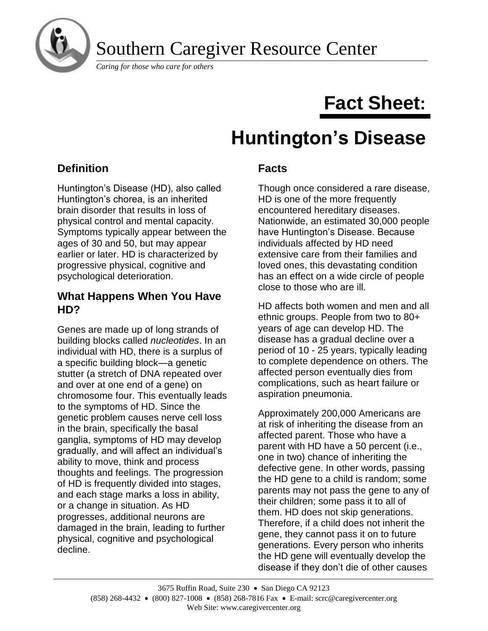

Southern Caregiver Resource Center

*Caring for those who care for others*

# **Fact Sheet:**

# **Huntington's Disease**

# **Definition**

Huntington's Disease (HD), also called Huntington's chorea, is an inherited brain disorder that results in loss of physical control and mental capacity. Symptoms typically appear between the ages of 30 and 50, but may appear earlier or later. HD is characterized by progressive physical, cognitive and psychological deterioration.

#### **What Happens When You Have HD?**

Genes are made up of long strands of building blocks called *nucleotides*. In an individual with HD, there is a surplus of a specific building block—a genetic stutter (a stretch of DNA repeated over and over at one end of a gene) on chromosome four. This eventually leads to the symptoms of HD. Since the genetic problem causes nerve cell loss in the brain, specifically the basal ganglia, symptoms of HD may develop gradually, and will affect an individual's ability to move, think and process thoughts and feelings. The progression of HD is frequently divided into stages, and each stage marks a loss in ability, or a change in situation. As HD progresses, additional neurons are damaged in the brain, leading to further physical, cognitive and psychological decline.

# **Facts**

Though once considered a rare disease, HD is one of the more frequently encountered hereditary diseases. Nationwide, an estimated 30,000 people have Huntington's Disease. Because individuals affected by HD need extensive care from their families and loved ones, this devastating condition has an effect on a wide circle of people close to those who are ill.

HD affects both women and men and all ethnic groups. People from two to 80+ years of age can develop HD. The disease has a gradual decline over a period of 10 - 25 years, typically leading to complete dependence on others. The affected person eventually dies from complications, such as heart failure or aspiration pneumonia.

Approximately 200,000 Americans are at risk of inheriting the disease from an affected parent. Those who have a parent with HD have a 50 percent (i.e., one in two) chance of inheriting the defective gene. In other words, passing the HD gene to a child is random; some parents may not pass the gene to any of their children; some pass it to all of them. HD does not skip generations. Therefore, if a child does not inherit the gene, they cannot pass it on to future generations. Every person who inherits the HD gene will eventually develop the disease if they don't die of other causes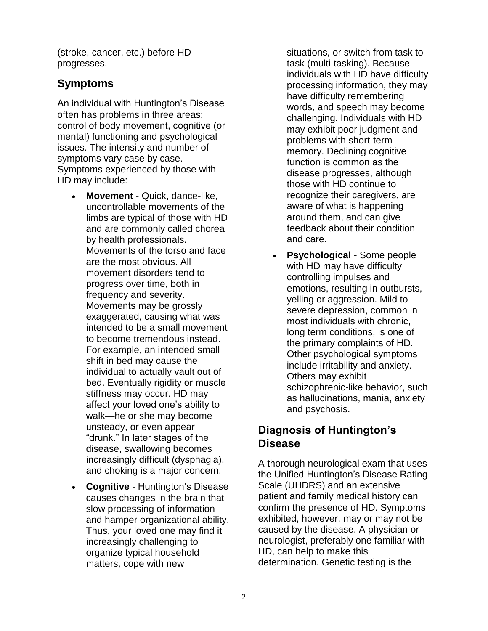(stroke, cancer, etc.) before HD progresses.

## **Symptoms**

An individual with Huntington's Disease often has problems in three areas: control of body movement, cognitive (or mental) functioning and psychological issues. The intensity and number of symptoms vary case by case. Symptoms experienced by those with HD may include:

- **Movement** Quick, dance-like, uncontrollable movements of the limbs are typical of those with HD and are commonly called chorea by health professionals. Movements of the torso and face are the most obvious. All movement disorders tend to progress over time, both in frequency and severity. Movements may be grossly exaggerated, causing what was intended to be a small movement to become tremendous instead. For example, an intended small shift in bed may cause the individual to actually vault out of bed. Eventually rigidity or muscle stiffness may occur. HD may affect your loved one's ability to walk—he or she may become unsteady, or even appear "drunk." In later stages of the disease, swallowing becomes increasingly difficult (dysphagia), and choking is a major concern.
- **Cognitive** Huntington's Disease causes changes in the brain that slow processing of information and hamper organizational ability. Thus, your loved one may find it increasingly challenging to organize typical household matters, cope with new

situations, or switch from task to task (multi-tasking). Because individuals with HD have difficulty processing information, they may have difficulty remembering words, and speech may become challenging. Individuals with HD may exhibit poor judgment and problems with short-term memory. Declining cognitive function is common as the disease progresses, although those with HD continue to recognize their caregivers, are aware of what is happening around them, and can give feedback about their condition and care.

**Psychological** - Some people with HD may have difficulty controlling impulses and emotions, resulting in outbursts, yelling or aggression. Mild to severe depression, common in most individuals with chronic, long term conditions, is one of the primary complaints of HD. Other psychological symptoms include irritability and anxiety. Others may exhibit schizophrenic-like behavior, such as hallucinations, mania, anxiety and psychosis.

# **Diagnosis of Huntington's Disease**

A thorough neurological exam that uses the Unified Huntington's Disease Rating Scale (UHDRS) and an extensive patient and family medical history can confirm the presence of HD. Symptoms exhibited, however, may or may not be caused by the disease. A physician or neurologist, preferably one familiar with HD, can help to make this determination. Genetic testing is the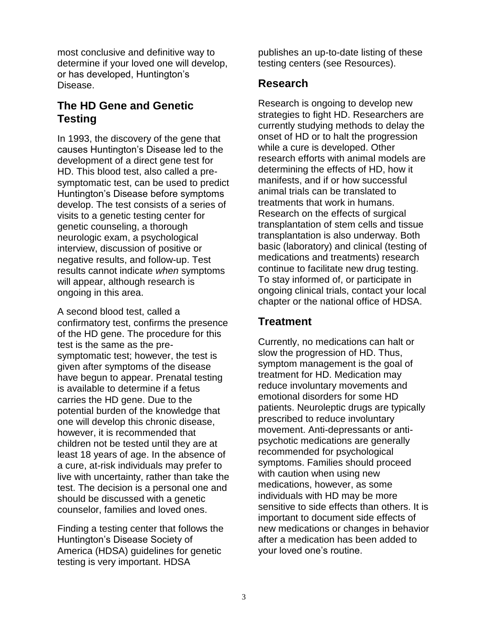most conclusive and definitive way to determine if your loved one will develop, or has developed, Huntington's Disease.

## **The HD Gene and Genetic Testing**

In 1993, the discovery of the gene that causes Huntington's Disease led to the development of a direct gene test for HD. This blood test, also called a presymptomatic test, can be used to predict Huntington's Disease before symptoms develop. The test consists of a series of visits to a genetic testing center for genetic counseling, a thorough neurologic exam, a psychological interview, discussion of positive or negative results, and follow-up. Test results cannot indicate *when* symptoms will appear, although research is ongoing in this area.

A second blood test, called a confirmatory test, confirms the presence of the HD gene. The procedure for this test is the same as the presymptomatic test; however, the test is given after symptoms of the disease have begun to appear. Prenatal testing is available to determine if a fetus carries the HD gene. Due to the potential burden of the knowledge that one will develop this chronic disease, however, it is recommended that children not be tested until they are at least 18 years of age. In the absence of a cure, at-risk individuals may prefer to live with uncertainty, rather than take the test. The decision is a personal one and should be discussed with a genetic counselor, families and loved ones.

Finding a testing center that follows the Huntington's Disease Society of America (HDSA) guidelines for genetic testing is very important. HDSA

publishes an up-to-date listing of these testing centers (see Resources).

#### **Research**

Research is ongoing to develop new strategies to fight HD. Researchers are currently studying methods to delay the onset of HD or to halt the progression while a cure is developed. Other research efforts with animal models are determining the effects of HD, how it manifests, and if or how successful animal trials can be translated to treatments that work in humans. Research on the effects of surgical transplantation of stem cells and tissue transplantation is also underway. Both basic (laboratory) and clinical (testing of medications and treatments) research continue to facilitate new drug testing. To stay informed of, or participate in ongoing clinical trials, contact your local chapter or the national office of HDSA.

### **Treatment**

Currently, no medications can halt or slow the progression of HD. Thus, symptom management is the goal of treatment for HD. Medication may reduce involuntary movements and emotional disorders for some HD patients. Neuroleptic drugs are typically prescribed to reduce involuntary movement. Anti-depressants or antipsychotic medications are generally recommended for psychological symptoms. Families should proceed with caution when using new medications, however, as some individuals with HD may be more sensitive to side effects than others. It is important to document side effects of new medications or changes in behavior after a medication has been added to your loved one's routine.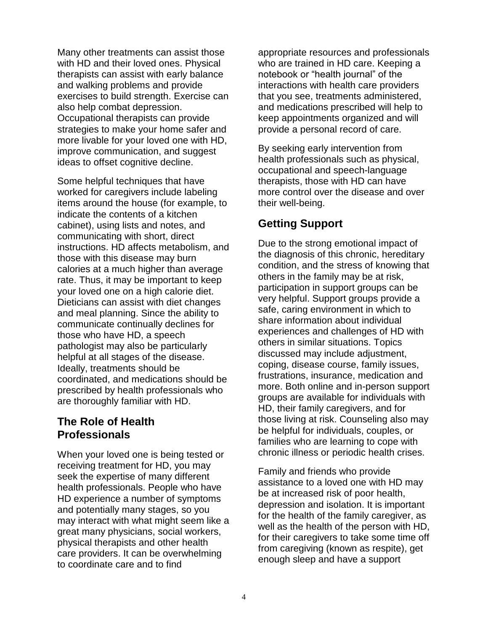Many other treatments can assist those with HD and their loved ones. Physical therapists can assist with early balance and walking problems and provide exercises to build strength. Exercise can also help combat depression. Occupational therapists can provide strategies to make your home safer and more livable for your loved one with HD, improve communication, and suggest ideas to offset cognitive decline.

Some helpful techniques that have worked for caregivers include labeling items around the house (for example, to indicate the contents of a kitchen cabinet), using lists and notes, and communicating with short, direct instructions. HD affects metabolism, and those with this disease may burn calories at a much higher than average rate. Thus, it may be important to keep your loved one on a high calorie diet. Dieticians can assist with diet changes and meal planning. Since the ability to communicate continually declines for those who have HD, a speech pathologist may also be particularly helpful at all stages of the disease. Ideally, treatments should be coordinated, and medications should be prescribed by health professionals who are thoroughly familiar with HD.

#### **The Role of Health Professionals**

When your loved one is being tested or receiving treatment for HD, you may seek the expertise of many different health professionals. People who have HD experience a number of symptoms and potentially many stages, so you may interact with what might seem like a great many physicians, social workers, physical therapists and other health care providers. It can be overwhelming to coordinate care and to find

appropriate resources and professionals who are trained in HD care. Keeping a notebook or "health journal" of the interactions with health care providers that you see, treatments administered, and medications prescribed will help to keep appointments organized and will provide a personal record of care.

By seeking early intervention from health professionals such as physical, occupational and speech-language therapists, those with HD can have more control over the disease and over their well-being.

### **Getting Support**

Due to the strong emotional impact of the diagnosis of this chronic, hereditary condition, and the stress of knowing that others in the family may be at risk, participation in support groups can be very helpful. Support groups provide a safe, caring environment in which to share information about individual experiences and challenges of HD with others in similar situations. Topics discussed may include adjustment, coping, disease course, family issues, frustrations, insurance, medication and more. Both online and in-person support groups are available for individuals with HD, their family caregivers, and for those living at risk. Counseling also may be helpful for individuals, couples, or families who are learning to cope with chronic illness or periodic health crises.

Family and friends who provide assistance to a loved one with HD may be at increased risk of poor health, depression and isolation. It is important for the health of the family caregiver, as well as the health of the person with HD, for their caregivers to take some time off from caregiving (known as respite), get enough sleep and have a support